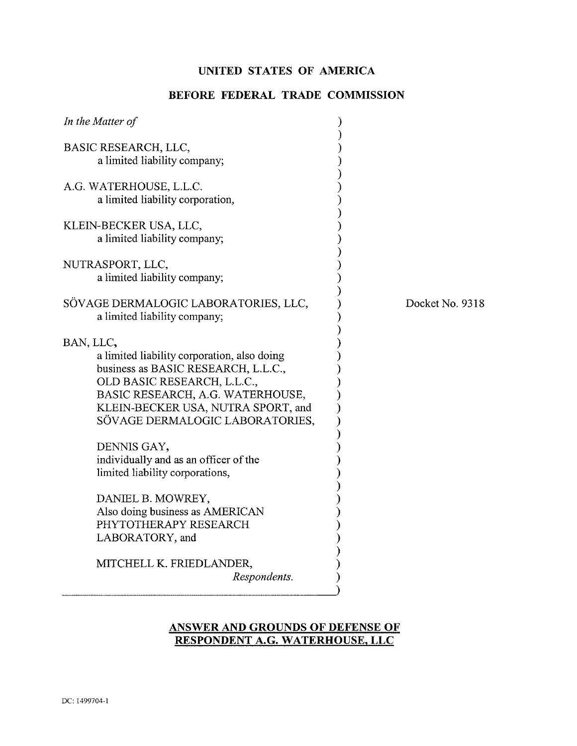# **UNITED STATES OF AMERICA**

# **BEFORE FEDERAL TRADE COMMISSION**

| In the Matter of                                                                                                                                                                                                                                                                                                                       |            |
|----------------------------------------------------------------------------------------------------------------------------------------------------------------------------------------------------------------------------------------------------------------------------------------------------------------------------------------|------------|
| BASIC RESEARCH, LLC,<br>a limited liability company;                                                                                                                                                                                                                                                                                   |            |
| A.G. WATERHOUSE, L.L.C.<br>a limited liability corporation,                                                                                                                                                                                                                                                                            |            |
| KLEIN-BECKER USA, LLC,<br>a limited liability company;                                                                                                                                                                                                                                                                                 |            |
| NUTRASPORT, LLC,<br>a limited liability company;                                                                                                                                                                                                                                                                                       |            |
| SÖVAGE DERMALOGIC LABORATORIES, LLC,<br>a limited liability company;                                                                                                                                                                                                                                                                   | Docket No. |
| BAN, LLC,<br>a limited liability corporation, also doing<br>business as BASIC RESEARCH, L.L.C.,<br>OLD BASIC RESEARCH, L.L.C.,<br>BASIC RESEARCH, A.G. WATERHOUSE,<br>KLEIN-BECKER USA, NUTRA SPORT, and<br>SÖVAGE DERMALOGIC LABORATORIES,<br>DENNIS GAY,<br>individually and as an officer of the<br>limited liability corporations, |            |
| DANIEL B. MOWREY,<br>Also doing business as AMERICAN<br>PHYTOTHERAPY RESEARCH<br>LABORATORY, and                                                                                                                                                                                                                                       |            |
| MITCHELL K. FRIEDLANDER,<br>Respondents.                                                                                                                                                                                                                                                                                               |            |

9318

## **ANSWER AND GROUNDS OF DEFENSE OF** RESPONDENT A.G. WATERHOUSE, LLC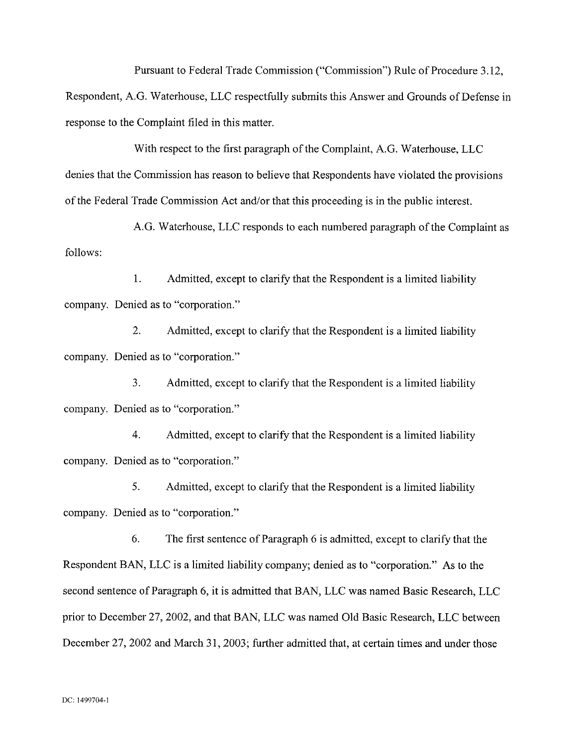Pursuant to Federal Trade Commission ("Commission") Rule of Procedure 3.12,

Respondent, A.G. Waterhouse, LLC respectfully submits this Answer and Grounds of Defense in response to the Complaint filed in this matter.

With respect to the first paragraph of the Complaint, A.G. Waterhouse, LLC denies that the Commission has reason to believe that Respondents have violated the provisions of the Federal Trade Commission Act and/or that this proceeding is in the public interest.

A.G. Waterhouse, LLC responds to each numbered paragraph of the Complaint as follows:

1. Admitted, except to clarify that the Respondent is a limited liability company. Denied as to "corporation."

2. Admitted, except to clarify that the Respondent is a limited liability company. Denied as to "corporation."

3. Admitted, except to clarify that the Respondent is a limited liability company. Denied as to "corporation."

4. Admitted, except to clarify that the Respondent is a limited liability company. Denied as to "corporation."

**5.** Admitted, except to clarify that the Respondent is a limited liability company. Denied as to "corporation."

*6.* The first sentence of Paragraph 6 is admitted, except to clarify that the Respondent BAN, LLC is a limited liability company; denied as to "corporation." As to the second sentence of Paragraph 6, it is admitted that BAN, LLC was named Basic Research, LLC prior to December 27,2002, and that BAN, LLC was named Old Basic Research, LLC between December 27, 2002 and March 31, 2003; further admitted that, at certain times and under those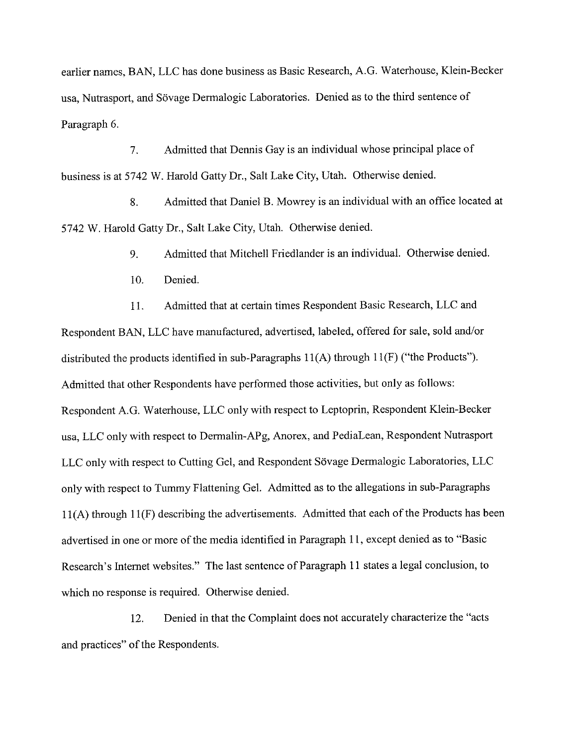earlier names, BAN, LLC has done business as Basic Research, A.G. Waterhouse, Klein-Becker usa, Nutrasport, and Sövage Dermalogic Laboratories. Denied as to the third sentence of Paragraph 6.

7. Admitted that Dennis Gay is **an** individual whose principal place of business is at 5742 W. Harold Gatty Dr., Salt Lake City, Utah. Otherwise denied.

8. Admitted that Daniel B. Mowrey is an individual with **an** office located at 5742 W. Harold Gatty Dr., Salt Lake City, Utah. Otherwise denied.

9. Admitted that Mitchell Friedlander is an individual. Otherwise denied.

10. Denied.

11. Admitted that at certain times Respondent Basic Research, LLC and Respondent BAN, LLC have manufactured, advertised, labeled, offered for sale, sold and/or distributed the products identified in sub-paragraphs 11(A) through 11(F) ("the Products"). Admitted that other Respondents have performed those activities, hut only as follows: Respondent A.G. Waterhouse, LLC only with respect to Leptoprin, Respondent Klein-Becker usa, LLC only with respect to Dermalin-APg, Anorex, and PediaLean, Respondent Nutrasport LLC only with respect to Cutting Gel, and Respondent Sövage Dermalogic Laboratories, LLC only with respect to Tummy Flattening Gel. Admitted as to the allegations in sub-paragraphs 11(A) through 11(F) describing the advertisements. Admitted that each of the Products has been advertised in one or more of the media identified in Paragraph 11, except denied as to "Basic Research's Internet websites." The last sentence of Paragraph 11 states a legal conclusion, to which no response is required. Otherwise denied.

12. Denied in that the Complaint does not accurately characterize the "acts and practices" of the Respondents.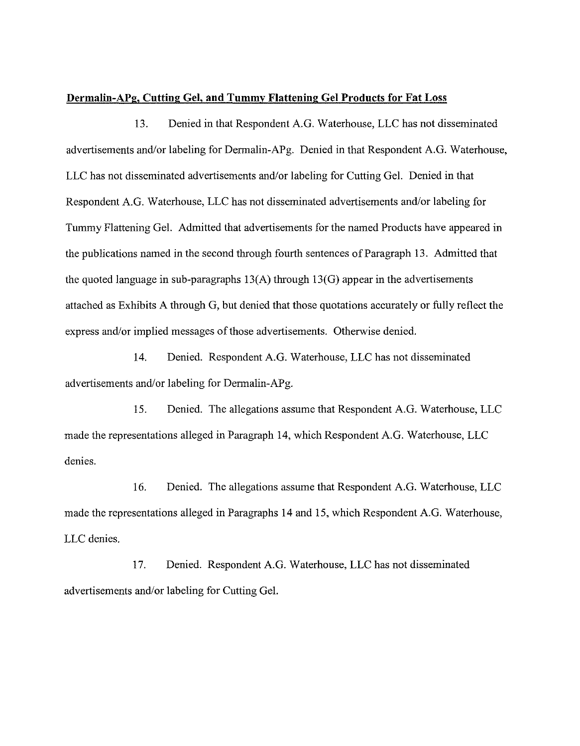#### **Dermalin-APg, Cutting Gel, and Tummy Flattening Gel Products for Fat Loss**

13. Denied in that Respondent A.G. Waterhouse, LLC has not disseminated advertisements and/or labeling for Dermalin-APg. Denied in that Respondent A.G. Waterhouse, LLC has not disseminated advertisements and/or labeling for Cutting Gel. Denied in that Respondent A.G. Waterhouse, LLC has not disseminated advertisements and/or labeling for Tummy Flattening Gel. Admitted that advertisements for the named Products have appeared in the publications named in the second through fourth sentences of Paragraph 13. Admitted that the quoted language in sub-paragraphs 13(A) through 13(G) appear in the advertisements attached as Exhibits A through G, but denied that those quotations accurately or fully reflect the express and/or implied messages of those advertisements. Otherwise denied.

14. Denied. Respondent A.G. Waterhouse, LLC has not disseminated advertisements and/or labeling for Dermalin-APg.

15. Denied. The allegations assume that Respondent A.G. Waterhouse, LLC made the representations alleged in Paragraph 14, which Respondent A.G. Waterhouse, LLC denies.

16. Denied. The allegations assume that Respondent A.G. Waterhouse, LLC made the representations alleged in Paragraphs 14 and 15, which Respondent A.G. Waterhouse, LLC denies.

17. Denied. Respondent A.G. Waterhouse, LLC has not disseminated advertisements and/or labeling for Cutting Gel.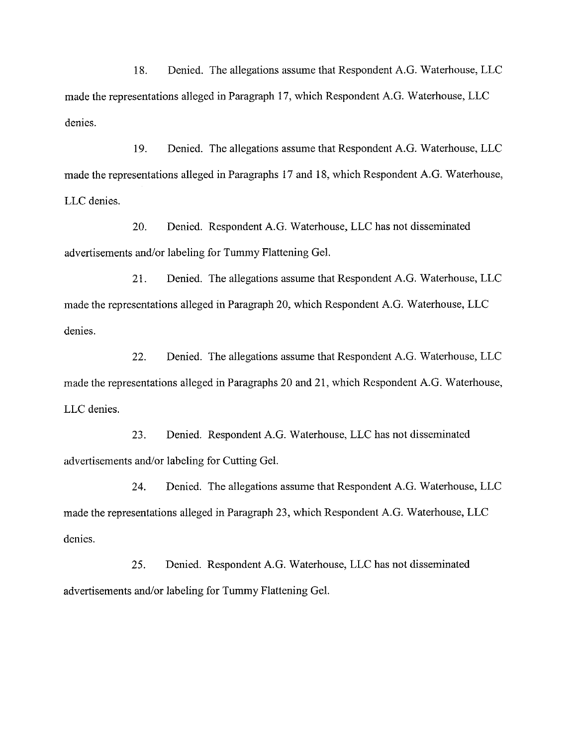18. Denied. The allegations assume that Respondent A.G. Waterhouse, LLC made the representations alleged in Paragraph 17, which Respondent A.G. Waterhouse, LLC denies.

19. Denied. The allegations assume that Respondent A.G. Waterhouse, LLC made the representations alleged in Paragraphs 17 and 18, which Respondent A.G. Waterhouse, LLC denies.

20. Denied. Respondent A.G. Waterhouse, LLC has not disseminated advertisements and/or labeling for Tummy Flattening Gel.

21. Denied. The allegations assume that Respondent A.G. Waterhouse, LLC made the representations alleged in Paragraph 20, which Respondent A.G. Waterhouse, LLC denies.

22. Denied. The allegations assume that Respondent A.G. Waterhouse, LLC made the representations alleged in Paragraphs 20 and 21, which Respondent A.G. Waterhouse, LLC denies.

23. Denied. Respondent A.G. Waterhouse, LLC has not disseminated advertisements and/or labeling for Cutting Gel.

24. Denied. The allegations assume that Respondent A.G. Waterhouse, LLC made the representations alleged in Paragraph 23, which Respondent A.G. Waterhouse, LLC denies.

25. Denied. Respondent A.G. Waterhouse, LLC has not disseminated advertisements and/or labeling for Tummy Flattening Gel.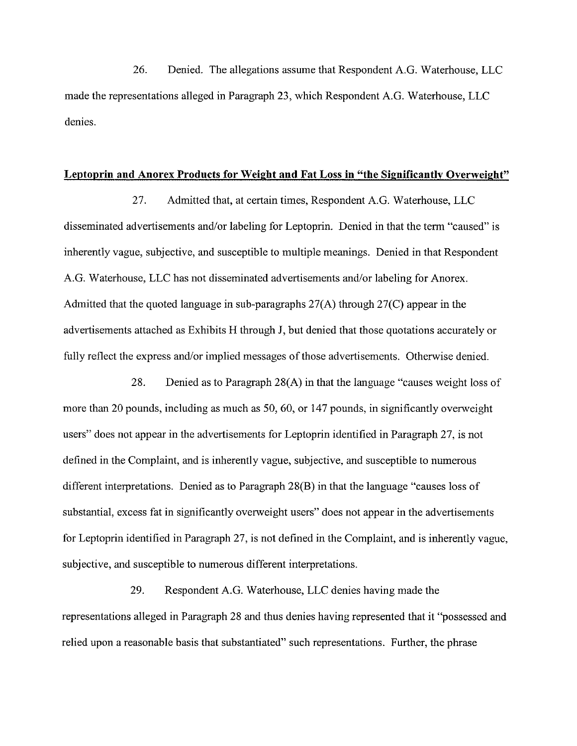26. Denied. The allegations assume that Respondent A.G. Waterhouse, LLC made the representations alleged in Paragraph 23, which Respondent A.G. Waterhouse, LLC denies.

#### **Leptoprin and Anorex Products for Weight and Fat Loss in "the Significantlv Overweight"**

27. Admitted that, at certain times, Respondent A.G. Waterhouse, LLC disseminated advertisements and/or labeling for Leptoprin. Denied in that the term "caused" is inherently vague, subjective, and susceptible to multiple meanings. Denied in that Respondent A.G. Waterhouse, LLC has not disseminated advertisements and/or labeling for Anorex. Admitted that the quoted language in sub-paragraphs 27(A) through 27(C) appear in the advertisements attached as Exhibits H through J, but denied that those quotations accurately or fully reflect the express and/or implied messages of those advertisements. Otherwise denied.

28. Denied as to Paragraph 28(A) in that the language "causes weight loss of more than 20 pounds, including as much as 50, 60, or 147 pounds, in significantly overweight users" does not appear in the advertisements for Leptoprin identified in Paragraph 27, is not defined in the Complaint, and is inherently vague, subjective, and susceptible to numerous different interpretations. Denied as to Paragraph 28(B) in that the language "causes loss of substantial, excess fat in significantly overweight users" does not appear in the advertisements for Leptoprin identified in Paragraph 27, is not defined in the Complaint, and is inherently vague, subjective, and susceptible to numerous different interpretations.

29. Respondent A.G. Waterhouse, LLC denies having made the representations alleged in Paragraph 28 and thus denies having represented that it "possessed and relied upon a reasonable basis that substantiated" such representations. Further, the phrase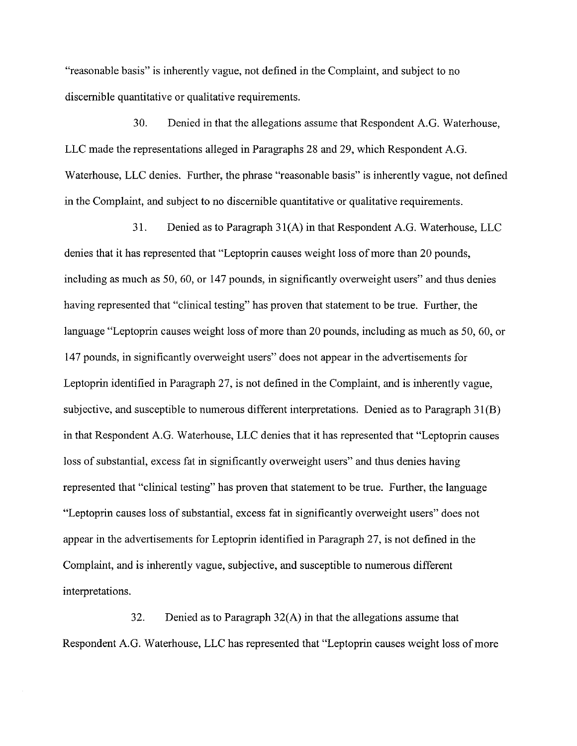"reasonable basis" is inherently vague, not defined in the Complaint, and subject to no discernible quantitative or qualitative requirements.

30. Denied in that the allegations assume that Respondent A.G. Watcrhouse, LLC made the representations alleged in Paragraphs 28 and 29, which Respondent A.G. Waterhouse, LLC denies. Further, the phrase "reasonable basis" is inherently vague, not defined in the Complaint, and subject to no discernible quantitative or qualitative requirements.

31. Denied as to Paragraph 31(A) in that Respondent A.G. Waterhouse, LLC denies that it has represented that "Leptoprin causes weight loss of more than 20 pounds, including as much as 50,60, or 147 pounds, in significantly overweight users" and thus denies having represented that "clinical testing" has proven that statement to be true. Further, the language "Leptoprin causes weight loss of more than 20 pounds, including as much as 50, 60, or 147 pounds, in significantly overweight users" does not appear in the advertisements for Leptoprin identified in Paragraph 27, is not defined in the Complaint, and is inherently vague, subjective, and susceptible to numerous different interpretations. Denied as to Paragraph 31(B) in that Respondent A.G. Waterhouse, LLC denies that it has represented that "Leptoprin causes loss of substantial, excess fat in significantly overweight users" and thus denies having represented that "clinical testing" has proven that statement to be true. Further, the language "Leptoprin causes loss of substantial, excess fat in significantly overweight users" does not appear in the advertisements for Leptoprin identified in Paragraph 27, is not defined in the Complaint, and is inherently vague, subjective, and susceptible to numerous different interpretations.

32. Denied as to Paragraph 32(A) in that the allegations assume that Respondent A.G. Waterhouse, LLC has represented that "Leptoprin causes weight loss of more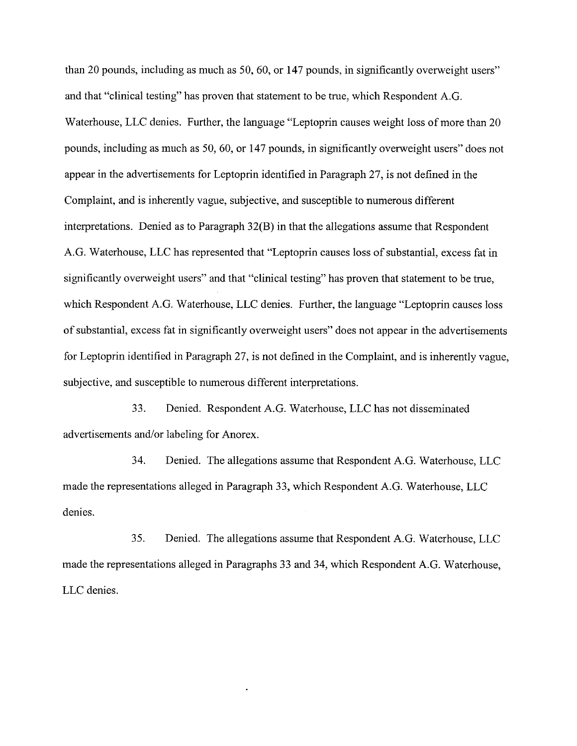than 20 pounds, including as much as 50, 60, or 147 pounds, in significantly overweight users" and that "clinical testing" has proven that statement to he true, which Respondent A.G. Waterhouse, LLC denies. Further, the language "Leptoprin causes weight loss of more than 20 pounds, including as much as 50,60, or 147 pounds, in significantly overweight users" does not appear in the advertisements for Leptoprin identified in Paragraph 27, is not defined in the Complaint, and is inherently vague, subjective, and susceptible to numerous different interpretations. Denied as to Paragraph 32(B) in that the allegations assume that Respondent A.G. Waterhouse, LLC has represented that "Leptoprin causes loss of substantial, excess fat in significantly overweight users" and that "clinical testing" has proven that statement to be true, which Respondent A.G. Waterhouse, LLC denies. Further, the language "Leptoprin causes loss of substantial, excess fat in significantly overweight users" does not appear in the advertisements for Leptoprin identified in Paragraph 27, is not defined in the Complaint, and is inherently vague, subjective, and susceptible to numerous different interpretations.

33. Denied. Respondent A.G. Waterhouse, LLC has not disseminated advertisements and/or labeling for Anorex.

34. Denied. The allegations assume that Respondent A.G. Waterhouse, LLC made the representations alleged in Paragraph 33, which Respondent A.G. Waterhouse, LLC denies.

35. Denied. The allegations assume that Respondent A.G. Waterhouse, LLC made the representations alleged in Paragraphs 33 and 34, which Respondent A.G. Waterhouse, LLC denies.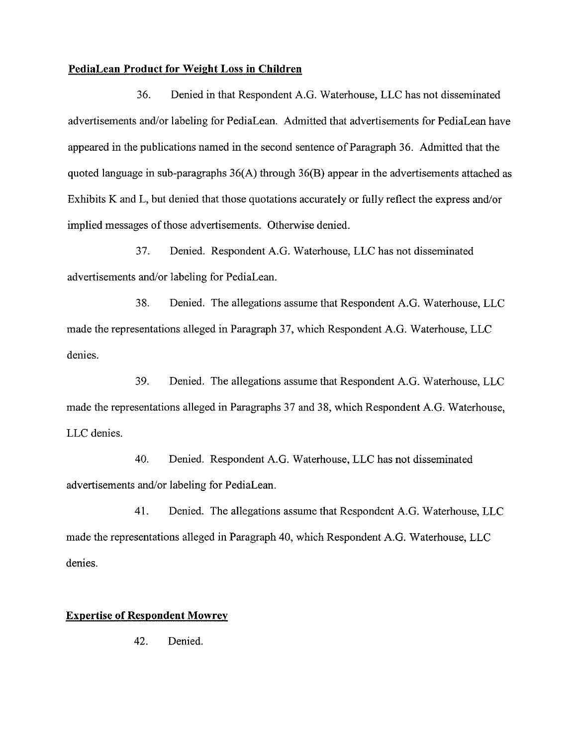### **PediaLean Product for Weight Loss in Children**

36. Denied in that Respondent A.G. Waterhouse, LLC has not disseminated advertisements and/or labeling for PediaLean. Admitted that advertisements for PediaLean have appeared in the publications named in the second sentence of Paragraph 36. Admitted that the quoted language in sub-paragraphs 36(A) through 36(B) appear in the advertisements attached as Exhibits K and L, but denied that those quotations accurately or fully reflect the express and/or implied messages of those advertisements. Otherwise denied.

37. Denied. Respondent A.G. Waterhouse, LLC has not disseminated advertisements and/or labeling for PediaLean.

38. Denied. The allegations assume that Respondent A.G. Waterhouse, LLC made the representations alleged in Paragraph 37, which Respondent A.G. Waterhouse, LLC denies.

**39.** Denied. The allegations assume that Respondent A.G. Waterhouse, LLC made the representations alleged in Paragraphs 37 and 38, which Respondent A.G. Waterhouse, LLC denies.

40. Denied. Respondent A.G. Waterhouse, LLC has not disseminated advertisements and/or labeling for PediaLean.

41. Denied. The allegations assume that Respondent A.G. Waterhouse, LLC made the representations alleged in Paragraph 40, which Respondent A.G. Waterhouse, LLC denies.

#### **Expertise of Respondent Mowrey**

42. Denied.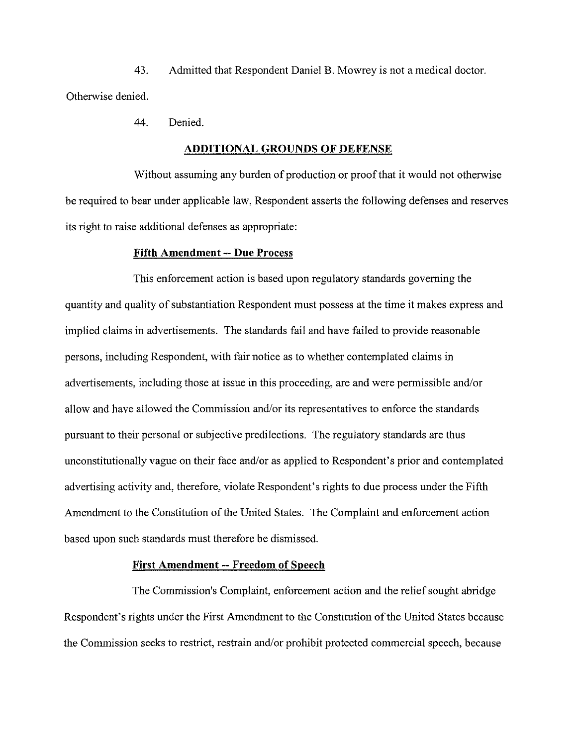43. Admitted that Respondent Daniel B. Mowrey is not a medical doctor. Otherwise denied.

44. Denied.

#### **ADDITIONAL GROUNDS OF DEFENSE**

Without assuming any burden of production or proof that it would not otherwise be required to bear under applicable law, Respondent asserts the following defenses and reserves its right to raise additional defenses as appropriate:

#### **Fifth Amendment** -- **Due Process**

This enforcement action is based upon regulatory standards governing the quantity and quality of substantiation Respondent must possess at the time it makes express and implied claims in advertisements. The standards fail and have failed to provide reasonable persons, including Respondent, with fair notice as to whether contemplated claims in advertisements, including those at issue in this proceeding, are and were permissible and/or allow and have allowed the Commission and/or its representatives to enforce the standards pursuant to their personal or subjective predilections. The regulatory standards are thus unconstitutionally vague on their face and/or as applied to Respondent's prior and contemplated advertising activity and, therefore, violate Respondent's rights to due process under the Fifth Amendment to the Constitution of the United States. The Complaint and enforcement action based upon such standards must therefore be dismissed.

#### **First Amendment** -- **Freedom of Speech**

The Commission's Complaint, enforcement action and the relief sought abridge Respondent's rights under the First Amendment to the Constitution of the United States because the Commission seeks to restrict, restrain and/or prohibit protected commercial speech, because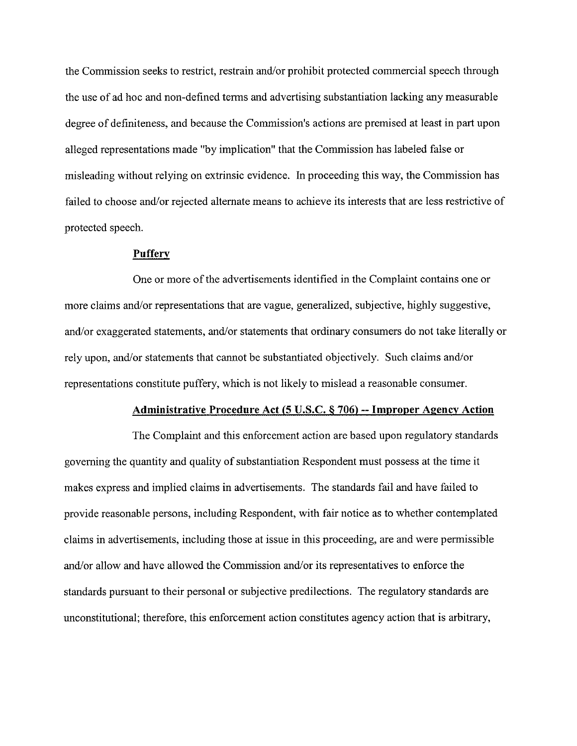the Commission seeks to restrict, restrain and/or prohibit protected commercial speech through the use of ad hoc and non-defined terms and advertising substantiation lacking any measurable degree of definiteness, and because the Commission's actions are premised at least in part upon alleged representations made "by implication" that the Commission has labeled false or misleading without relying on extrinsic evidence. In proceeding this way, the Commission has failed to choose and/or rejected alternate means to achieve its interests that are less restrictive of protected speech.

#### **Puffery**

One or more of the advertisements identified in the Complaint contains one or more claims and/or representations that are vague, generalized, subjective, highly suggestive, and/or exaggerated statements, and/or statements that ordinary consumers do not take literally or rely upon, and/or statements that cannot be substantiated objectively. Such claims and/or representations constitute puffery, which is not likely to mislead a reasonable consumer.

#### **Administrative Procedure Act (5 U.S.C. 6 706)** -- **Improper Aeencv Action**

The Complaint and this enforcement action are based upon regulatory standards governing the quantity and quality of substantiation Respondent must possess at the time it makes express and implied claims in advertisements. The standards fail and have failed to provide reasonable persons, including Respondent, with fair notice as to whether contemplated claims in advertisements, including those at issue in this proceeding, are and were permissible and/or allow and have allowed the Commission and/or its representatives to enforce the standards pursuant to their personal or subjective predilections. The regulatory standards are unconstitutional; therefore, this enforcement action constitutes agency action that is arbitrary,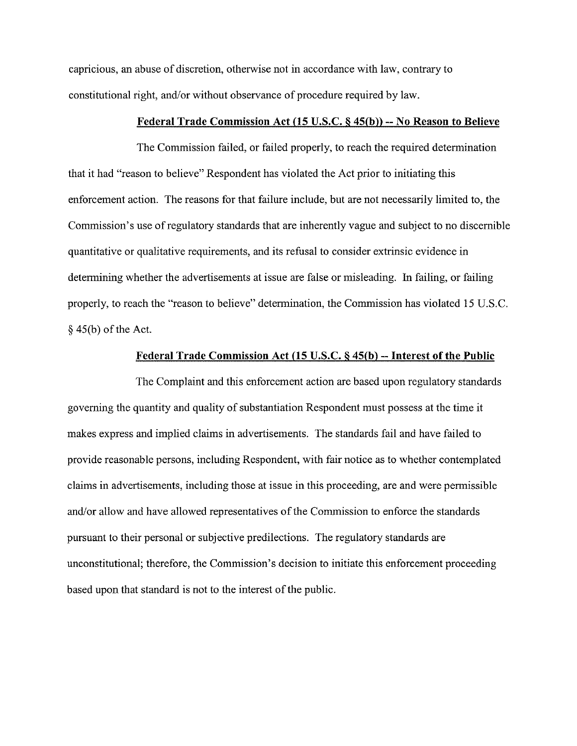capricious, an abuse of discretion, otherwise not in accordance with law, contrary to constitutional right, and/or without observance of procedure required by law.

### **Federal Trade Commission Act (15 U.S.C. 8 45(b))** -- **No Reason to Believe**

The Commission failed, or failed properly, to reach the required determination that it had "reason to believe" Respondent has violated the Act prior to initiating this enforcement action. The reasons for that failure include, but are not necessarily limited to, the Commission's use of regulatory standards that are inherently vague and subject to no discernible quantitative or qualitative requirements, and its refusal to consider extrinsic evidence in determining whether the advertisements at issue are false or misleading. In failing, or failing properly, to reach the "reason to believe" determination, the Commission has violated 15 U.S.C. **S(** 45(b) of the Act.

#### **Federal Trade Commission Act (15 U.S.C. 8 45(b)** -- **Interest of the Public**

The Complaint and this enforcement action are based upon regulatory standards governing the quantity and quality of substantiation Respondent must possess at the time it makes express and implied claims in advertisements. The standards fail and have failed to provide reasonable persons, including Respondent, with fair notice as to whether contemplated claims in advertisements, including those at issue in this proceeding, are and were permissible and/or allow and have allowed representatives of the Commission to enforce the standards pursuant to their personal or subjective predilections. The regulatory standards are unconstitutional; therefore, the Commission's decision to initiate this enforcement proceeding based upon that standard is not to the interest of the public.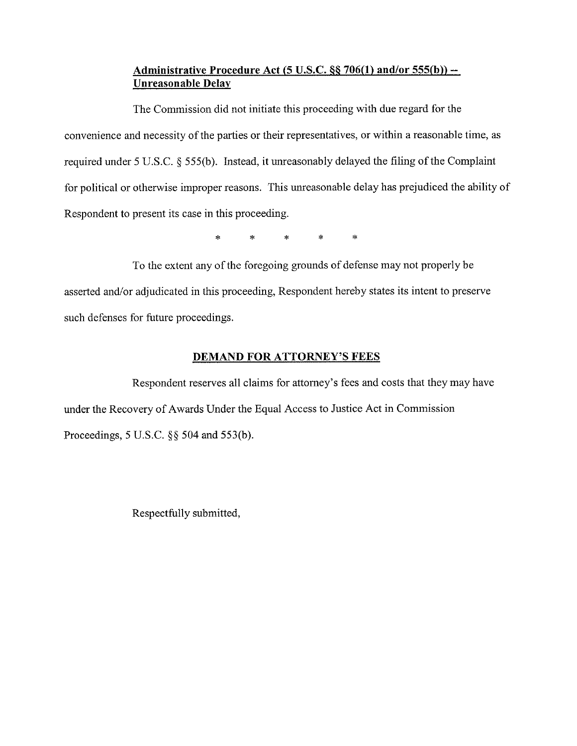## **Administrative Procedure Act (5 U.S.C. 66 706(1) and/or 555(b))** -- **Unreasonable Delay**

The Commission did not initiate this proceeding with due regard for the convenience and necessity of the parties or their representatives, or within a reasonable time, as required under 5 U.S.C. § 555(b). Instead, it unreasonably delayed the filing of the Complaint for political or otherwise improper reasons. This unreasonable delay has prejudiced the ability of Respondent to present its case in this proceedmg.

\* \* \* \* \*

To the extent any of the foregoing grounds of defense may not properly be asserted and/or adjudicated in this proceeding, Respondent hereby states its intent to preserve such defenses for future proceedings.

# **DEMAND FOR ATTORNEY'S FEES**

Respondent reserves all claims for attorney's fees and costs that they may have under the Recovery of Awards Under the Equal Access to Justice Act in Commission Proceedings, 5 U.S.C. **\$5** 504 and 553(b).

Respectfully submitted,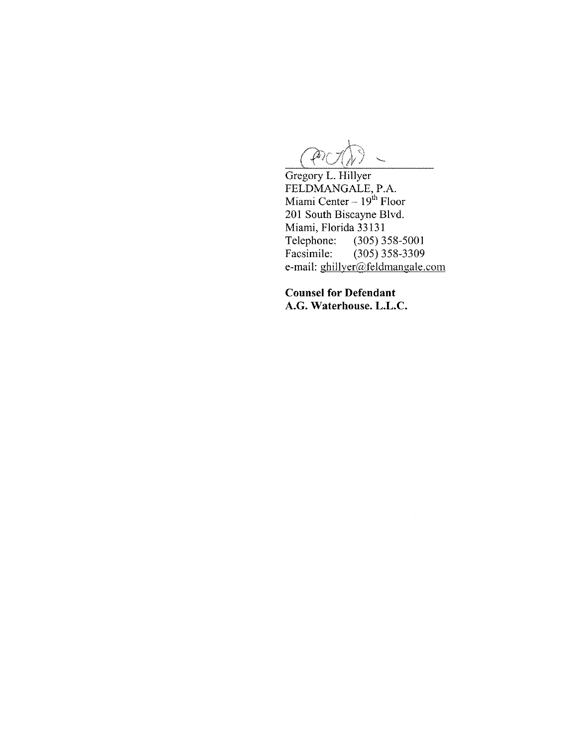$\mathscr{P}$ 

Gregory L. Hillyer FELDMANGALE, P.A. Miami Center - 1 **gh** Floor 201 South Biscayne Blvd. Miami, Florida 33131<br>Telephone: (305) 3 Telephone: (305) 358-5001<br>Facsimile: (305) 358-3309  $(305)$  358-3309 e-mail: ghillyer@feldmangale.com

 $\bar{z}$ 

**Counsel for Defendant A.G. Waterhouse. L.L.C.**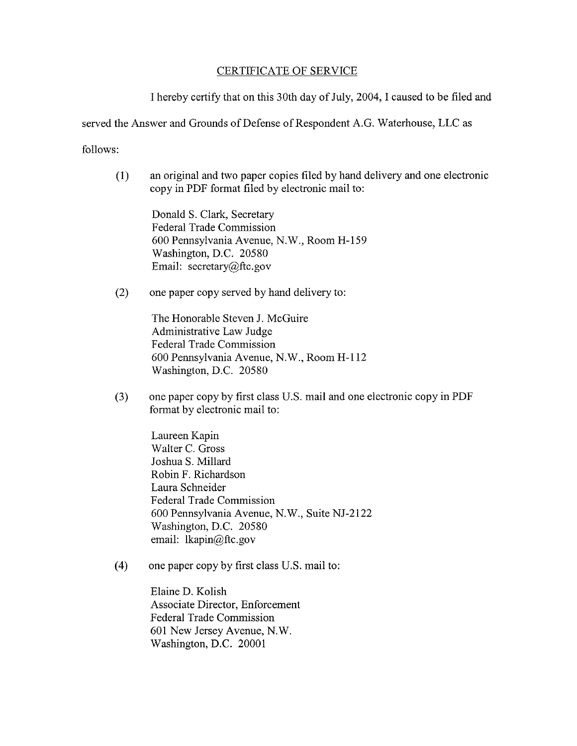### CERTIFICATE OF SERVICE

I hereby certify that on this 30th day of July, 2004, I caused to be filed and

served the Answer and Grounds of Defense of Respondent A.G. Waterhouse, LLC as

follows:

(1) an original and two paper copies filed by hand delivery and one electronic copy in PDF format filed by electronic mail to:

Donald S. Clark, Secretary Federal Trade Commission 600 Pennsylvania Avenue, N.W., Room H-159 Washington, D.C. 20580 Email: secretary@ftc.gov

(2) one paper copy served by hand delivery to:

The Honorable Steven J. McGuire Administrative Law Judge Federal Trade Commission 600 Pennsylvania Avenue, N.W., Room H-112 Washington, D.C. 20580

(3) one paper copy by first class U.S. mail and one electronic copy in PDF format by electronic mail to:

> Laureen Kapin Walter C. Gross Joshua S. Millard Robin F. Richardson Laura Schneider Federal Trade Commission 600 Pennsylvania Avenue, N.W., Suite NJ-2122 Washington, D.C. 20580 email: Ikapin@ftc.gov

**(4)** one paper copy by first class US. mail to:

Elaine D. Kolish Associate Director, Enforcement Federal Trade Commission 601 New Jersey Avenue, N.W. Washington, D.C. 20001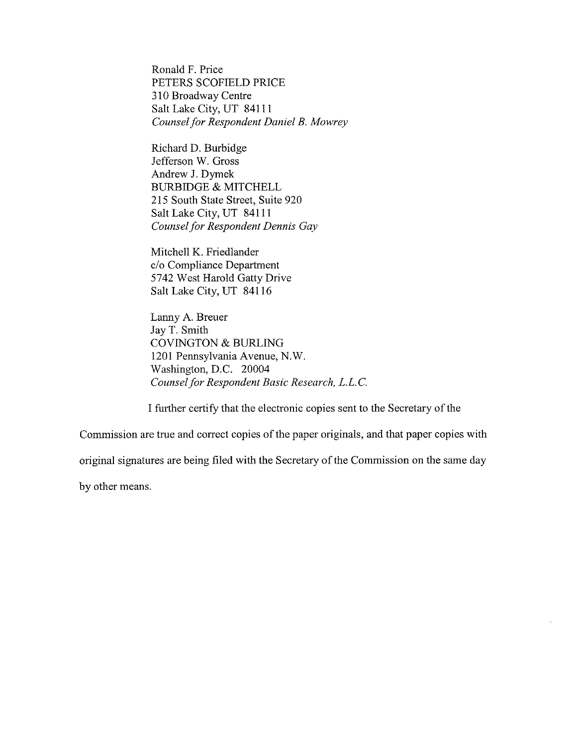Ronald F. Price PETERS SCOFELD PRICE 310 Broadway Centre Salt Lake City, UT 841 11 *Counsel for Respondent Daniel B. Mowrey* 

Richard D. Burbidge Jefferson W. Gross Andrew J. Dymek BURBIDGE & MITCHELL 215 South State Street, Suite 920 Salt Lake City, UT 841 11 *Counsel for Respondent Dennis Gay* 

Mitchell K. Friedlander c/o Compliance Department 5742 West Harold Gatty Drive Salt Lake City, UT 841 16

Lanny A. Breuer Jay T. Smith COVINGTON & BURLING 1201 Pennsylvania Avenue, N.W. Washington, D.C. 20004 *Counsel for Respondent Basic Research, L.L.C.* 

I further certify that the electronic copies sent to the Secretary of the

Commission are true and correct copies of the paper originals, and that paper copies with

original signatures are being filed with the Secretary of the Commission on the same day

by other means.